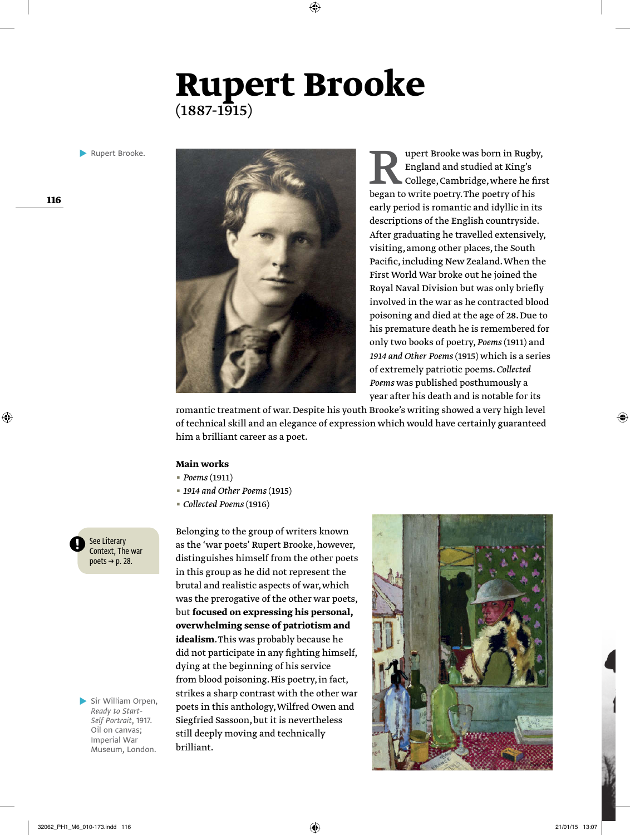## **Rupert Brooke**   $(1887 - 1915)$

**Rupert Brooke.** 



Rupert Brooke was born in Rugby,<br>
England and studied at King's<br>
College, Cambridge, where he first<br>
began to write poetry. The poetry of his England and studied at King's College, Cambridge, where he first early period is romantic and idyllic in its descriptions of the English countryside. After graduating he travelled extensively, visiting, among other places, the South Pacific, including New Zealand. When the First World War broke out he joined the Royal Naval Division but was only briefly involved in the war as he contracted blood poisoning and died at the age of 28. Due to his premature death he is remembered for only two books of poetry, *Poems* (1911) and *1914 and Other Poems* (1915) which is a series of extremely patriotic poems. *Collected Poems* was published posthumously a year after his death and is notable for its

romantic treatment of war. Despite his youth Brooke's writing showed a very high level of technical skill and an elegance of expression which would have certainly guaranteed him a brilliant career as a poet.

#### **Main works**

- *Poems* (1911)
- *1914 and Other Poems* (1915)
- *Collected Poems* (1916)

Belonging to the group of writers known as the 'war poets' Rupert Brooke, however, distinguishes himself from the other poets in this group as he did not represent the brutal and realistic aspects of war, which was the prerogative of the other war poets, but **focused on expressing his personal, overwhelming sense of patriotism and idealism**. This was probably because he did not participate in any fighting himself, dying at the beginning of his service from blood poisoning. His poetry, in fact, strikes a sharp contrast with the other war poets in this anthology, Wilfred Owen and Siegfried Sassoon, but it is nevertheless still deeply moving and technically brilliant.



See Literary Context, The war poets  $\rightarrow$  p. 28.

Sir William Orpen, *Ready to Start-Self Portrait*, 1917. Oil on canvas; Imperial War Museum, London.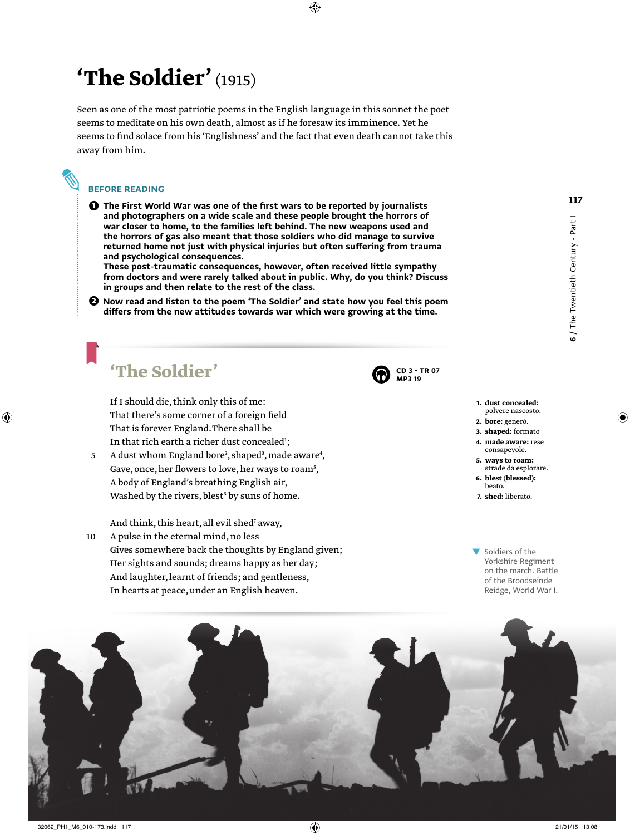# **'The Soldier'** (1915)

Seen as one of the most patriotic poems in the English language in this sonnet the poet seems to meditate on his own death, almost as if he foresaw its imminence. Yet he seems to find solace from his 'Englishness' and the fact that even death cannot take this away from him.

### Before reading

❶ The First World War was one of the first wars to be reported by journalists and photographers on a wide scale and these people brought the horrors of war closer to home, to the families left behind. The new weapons used and the horrors of gas also meant that those soldiers who did manage to survive returned home not just with physical injuries but often suffering from trauma

and psychological consequences. These post-traumatic consequences, however, often received little sympathy from doctors and were rarely talked about in public. Why, do you think? Discuss in groups and then relate to the rest of the class.

❷ Now read and listen to the poem 'The Soldier' and state how you feel this poem differs from the new attitudes towards war which were growing at the time.

## **'The Soldier'**

 If I should die, think only this of me: That there's some corner of a foreign field That is forever England. There shall be In that rich earth a richer dust concealed $^{\scriptscriptstyle 1}$ ;

5 A dust whom England bore<sup>2</sup>, shaped<sup>3</sup>, made aware<sup>4</sup>, Gave, once, her flowers to love, her ways to roam $^{\mathrm 5}$ , A body of England's breathing English air, Washed by the rivers, blest $\mathfrak s$  by suns of home.

And think, this heart, all evil shed<sup>7</sup> away,

10 A pulse in the eternal mind, no less Gives somewhere back the thoughts by England given; Her sights and sounds; dreams happy as her day; And laughter, learnt of friends; and gentleness, In hearts at peace, under an English heaven.

|    | CD 3 - TR 07 |  |
|----|--------------|--|
| ıν | MP3 19       |  |

- **1. dust concealed:**  polvere nascosto.
- **2. bore:** generò.
- **3. shaped:** formato **4. made aware:** rese
- consapevole.
- **5. ways to roam:**  strade da esplorare. **6. blest (blessed):**
- beato.
- **7. shed:** liberato.
- Soldiers of the Yorkshire Regiment on the march. Battle of the Broodseinde Reidge, World War I.



**117**